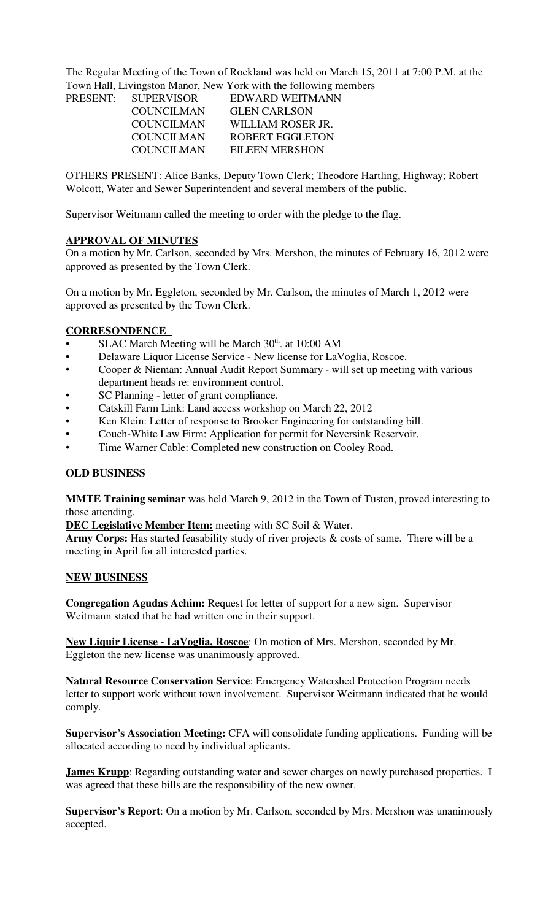The Regular Meeting of the Town of Rockland was held on March 15, 2011 at 7:00 P.M. at the Town Hall, Livingston Manor, New York with the following members

| <b>SUPERVISOR</b> | EDWARD WEITMANN       |
|-------------------|-----------------------|
| <b>COUNCILMAN</b> | <b>GLEN CARLSON</b>   |
| COUNCILMAN        | WILLIAM ROSER JR.     |
| COUNCILMAN        | ROBERT EGGLETON       |
| COUNCILMAN        | <b>EILEEN MERSHON</b> |
|                   |                       |

OTHERS PRESENT: Alice Banks, Deputy Town Clerk; Theodore Hartling, Highway; Robert Wolcott, Water and Sewer Superintendent and several members of the public.

Supervisor Weitmann called the meeting to order with the pledge to the flag.

# **APPROVAL OF MINUTES**

PRESENT:

On a motion by Mr. Carlson, seconded by Mrs. Mershon, the minutes of February 16, 2012 were approved as presented by the Town Clerk.

On a motion by Mr. Eggleton, seconded by Mr. Carlson, the minutes of March 1, 2012 were approved as presented by the Town Clerk.

### **CORRESONDENCE**

- SLAC March Meeting will be March  $30<sup>th</sup>$ . at 10:00 AM
- Delaware Liquor License Service New license for LaVoglia, Roscoe.
- Cooper & Nieman: Annual Audit Report Summary will set up meeting with various department heads re: environment control.
- SC Planning letter of grant compliance.
- Catskill Farm Link: Land access workshop on March 22, 2012
- Ken Klein: Letter of response to Brooker Engineering for outstanding bill.
- Couch-White Law Firm: Application for permit for Neversink Reservoir.
- Time Warner Cable: Completed new construction on Cooley Road.

### **OLD BUSINESS**

**MMTE Training seminar** was held March 9, 2012 in the Town of Tusten, proved interesting to those attending.

**DEC Legislative Member Item:** meeting with SC Soil & Water.

Army Corps: Has started feasability study of river projects & costs of same. There will be a meeting in April for all interested parties.

### **NEW BUSINESS**

**Congregation Agudas Achim:** Request for letter of support for a new sign. Supervisor Weitmann stated that he had written one in their support.

**New Liquir License - LaVoglia, Roscoe**: On motion of Mrs. Mershon, seconded by Mr. Eggleton the new license was unanimously approved.

**Natural Resource Conservation Service**: Emergency Watershed Protection Program needs letter to support work without town involvement. Supervisor Weitmann indicated that he would comply.

**Supervisor's Association Meeting:** CFA will consolidate funding applications. Funding will be allocated according to need by individual aplicants.

**James Krupp**: Regarding outstanding water and sewer charges on newly purchased properties. I was agreed that these bills are the responsibility of the new owner.

**Supervisor's Report**: On a motion by Mr. Carlson, seconded by Mrs. Mershon was unanimously accepted.